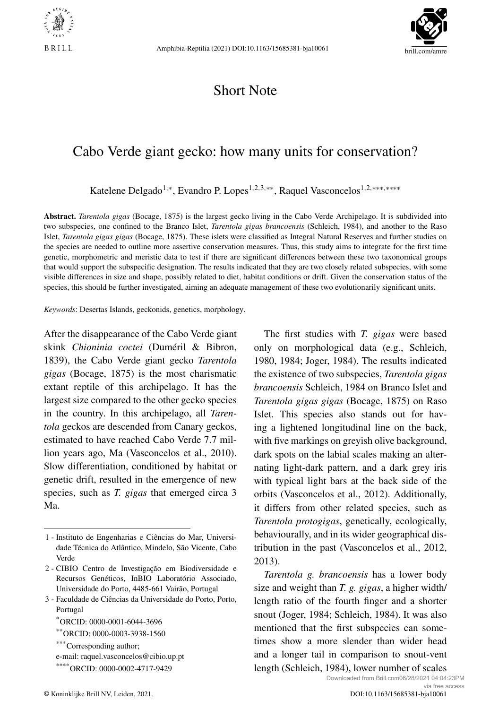



## Short Note

## Cabo Verde giant gecko: how many units for conservation?

Katelene Delgado<sup>1</sup>*,*<sup>∗</sup>, Evandro P. Lopes1*,*2*,*3*,*∗∗, Raquel Vasconcelos1*,*2*,*∗∗∗*,*∗∗∗∗

**Abstract.** *Tarentola gigas* (Bocage, 1875) is the largest gecko living in the Cabo Verde Archipelago. It is subdivided into two subspecies, one confined to the Branco Islet, *Tarentola gigas brancoensis* (Schleich, 1984), and another to the Raso Islet, *Tarentola gigas gigas* (Bocage, 1875). These islets were classified as Integral Natural Reserves and further studies on the species are needed to outline more assertive conservation measures. Thus, this study aims to integrate for the first time genetic, morphometric and meristic data to test if there are significant differences between these two taxonomical groups that would support the subspecific designation. The results indicated that they are two closely related subspecies, with some visible differences in size and shape, possibly related to diet, habitat conditions or drift. Given the conservation status of the species, this should be further investigated, aiming an adequate management of these two evolutionarily significant units.

*Keywords*: Desertas Islands, geckonids, genetics, morphology.

After the disappearance of the Cabo Verde giant skink *Chioninia coctei* (Duméril & Bibron, 1839), the Cabo Verde giant gecko *Tarentola gigas* (Bocage, 1875) is the most charismatic extant reptile of this archipelago. It has the largest size compared to the other gecko species in the country. In this archipelago, all *Tarentola* geckos are descended from Canary geckos, estimated to have reached Cabo Verde 7.7 million years ago, Ma (Vasconcelos et al., 2010). Slow differentiation, conditioned by habitat or genetic drift, resulted in the emergence of new species, such as *T. gigas* that emerged circa 3 Ma.

3 - Faculdade de Ciências da Universidade do Porto, Porto, Portugal

The first studies with *T. gigas* were based only on morphological data (e.g., Schleich, 1980, 1984; Joger, 1984). The results indicated the existence of two subspecies, *Tarentola gigas brancoensis* Schleich, 1984 on Branco Islet and *Tarentola gigas gigas* (Bocage, 1875) on Raso Islet. This species also stands out for having a lightened longitudinal line on the back, with five markings on greyish olive background, dark spots on the labial scales making an alternating light-dark pattern, and a dark grey iris with typical light bars at the back side of the orbits (Vasconcelos et al., 2012). Additionally, it differs from other related species, such as *Tarentola protogigas*, genetically, ecologically, behaviourally, and in its wider geographical distribution in the past (Vasconcelos et al., 2012, 2013).

*Tarentola g. brancoensis* has a lower body size and weight than *T. g. gigas*, a higher width/ length ratio of the fourth finger and a shorter snout (Joger, 1984; Schleich, 1984). It was also mentioned that the first subspecies can sometimes show a more slender than wider head and a longer tail in comparison to snout-vent length (Schleich, 1984), lower number of scales

Downloaded from Brill.com06/28/2021 04:04:23PM

<sup>1 -</sup> Instituto de Engenharias e Ciências do Mar, Universidade Técnica do Atlântico, Mindelo, São Vicente, Cabo Verde

<sup>2 -</sup> CIBIO Centro de Investigação em Biodiversidade e Recursos Genéticos, InBIO Laboratório Associado, Universidade do Porto, 4485-661 Vairão, Portugal

<sup>\*</sup>ORCID: [0000-0001-6044-3696](https://orcid.org/0000-0001-6044-3696)

<sup>\*\*</sup>ORCID: [0000-0003-3938-1560](https://orcid.org/0000-0003-3938-1560)

<sup>\*\*\*\*</sup>Corresponding author;

e-mail: [raquel.vasconcelos@cibio.up.pt](mailto:raquel.vasconcelos@cibio.up.pt) \*\*\*\*ORCID: [0000-0002-4717-9429](https://orcid.org/0000-0002-4717-9429)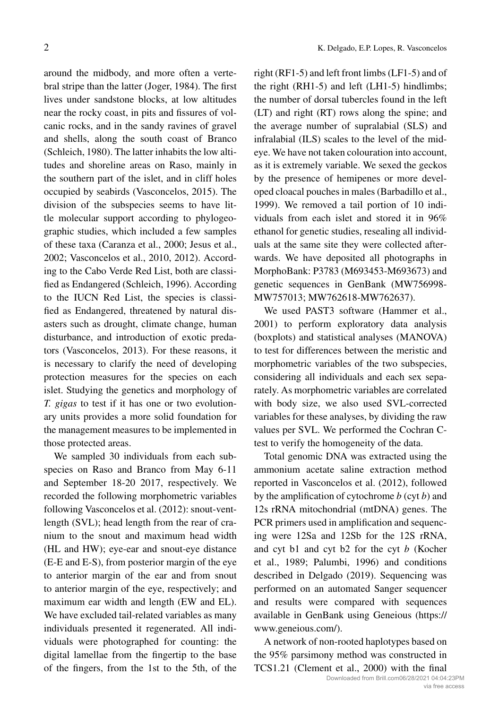around the midbody, and more often a vertebral stripe than the latter (Joger, 1984). The first lives under sandstone blocks, at low altitudes near the rocky coast, in pits and fissures of volcanic rocks, and in the sandy ravines of gravel and shells, along the south coast of Branco (Schleich, 1980). The latter inhabits the low altitudes and shoreline areas on Raso, mainly in the southern part of the islet, and in cliff holes occupied by seabirds (Vasconcelos, 2015). The division of the subspecies seems to have little molecular support according to phylogeographic studies, which included a few samples of these taxa (Caranza et al., 2000; Jesus et al., 2002; Vasconcelos et al., 2010, 2012). According to the Cabo Verde Red List, both are classified as Endangered (Schleich, 1996). According to the IUCN Red List, the species is classified as Endangered, threatened by natural disasters such as drought, climate change, human disturbance, and introduction of exotic predators (Vasconcelos, 2013). For these reasons, it is necessary to clarify the need of developing protection measures for the species on each islet. Studying the genetics and morphology of *T. gigas* to test if it has one or two evolutionary units provides a more solid foundation for the management measures to be implemented in those protected areas.

We sampled 30 individuals from each subspecies on Raso and Branco from May 6-11 and September 18-20 2017, respectively. We recorded the following morphometric variables following Vasconcelos et al. (2012): snout-ventlength (SVL); head length from the rear of cranium to the snout and maximum head width (HL and HW); eye-ear and snout-eye distance (E-E and E-S), from posterior margin of the eye to anterior margin of the ear and from snout to anterior margin of the eye, respectively; and maximum ear width and length (EW and EL). We have excluded tail-related variables as many individuals presented it regenerated. All individuals were photographed for counting: the digital lamellae from the fingertip to the base of the fingers, from the 1st to the 5th, of the right (RF1-5) and left front limbs (LF1-5) and of the right (RH1-5) and left (LH1-5) hindlimbs; the number of dorsal tubercles found in the left (LT) and right (RT) rows along the spine; and the average number of supralabial (SLS) and infralabial (ILS) scales to the level of the mideye. We have not taken colouration into account, as it is extremely variable. We sexed the geckos by the presence of hemipenes or more developed cloacal pouches in males (Barbadillo et al., 1999). We removed a tail portion of 10 individuals from each islet and stored it in 96% ethanol for genetic studies, resealing all individuals at the same site they were collected afterwards. We have deposited all photographs in MorphoBank: P3783 (M693453-M693673) and genetic sequences in GenBank (MW756998- MW757013; MW762618-MW762637).

We used PAST3 software (Hammer et al., 2001) to perform exploratory data analysis (boxplots) and statistical analyses (MANOVA) to test for differences between the meristic and morphometric variables of the two subspecies, considering all individuals and each sex separately. As morphometric variables are correlated with body size, we also used SVL-corrected variables for these analyses, by dividing the raw values per SVL. We performed the Cochran Ctest to verify the homogeneity of the data.

Total genomic DNA was extracted using the ammonium acetate saline extraction method reported in Vasconcelos et al. (2012), followed by the amplification of cytochrome *b* (cyt *b*) and 12s rRNA mitochondrial (mtDNA) genes. The PCR primers used in amplification and sequencing were 12Sa and 12Sb for the 12S rRNA, and cyt b1 and cyt b2 for the cyt *b* (Kocher et al., 1989; Palumbi, 1996) and conditions described in Delgado (2019). Sequencing was performed on an automated Sanger sequencer and results were compared with sequences available in GenBank using Geneious ([https://](https://www.geneious.com/) [www.geneious.com/](https://www.geneious.com/)).

A network of non-rooted haplotypes based on the 95% parsimony method was constructed in TCS1.21 (Clement et al., 2000) with the final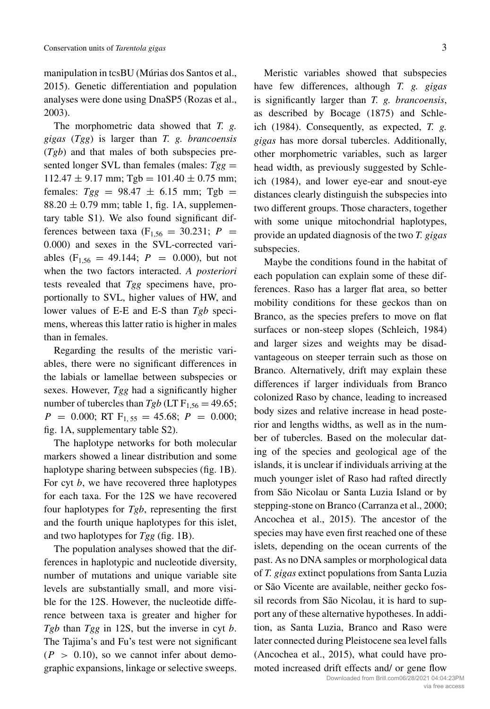manipulation in tcsBU (Múrias dos Santos et al., 2015). Genetic differentiation and population analyses were done using DnaSP5 (Rozas et al., 2003).

The morphometric data showed that *T. g. gigas* (*Tgg*) is larger than *T. g. brancoensis* (*Tgb*) and that males of both subspecies presented longer SVL than females (males:  $Tgg =$  $112.47 \pm 9.17$  mm; Tgb =  $101.40 \pm 0.75$  mm; females:  $Tgg = 98.47 \pm 6.15$  mm; Tgb =  $88.20 \pm 0.79$  mm; table 1, fig. 1A, [supplemen](https://doi.org/10.6084/m9.figshare.14748378)[tary table S1](https://doi.org/10.6084/m9.figshare.14748378)). We also found significant differences between taxa ( $F_{1,56} = 30.231$ ;  $P =$ 0*.*000) and sexes in the SVL-corrected variables  $(F_{1,56} = 49.144; P = 0.000)$ , but not when the two factors interacted. *A posteriori* tests revealed that *Tgg* specimens have, proportionally to SVL, higher values of HW, and lower values of E-E and E-S than *Tgb* specimens, whereas this latter ratio is higher in males than in females.

Regarding the results of the meristic variables, there were no significant differences in the labials or lamellae between subspecies or sexes. However, *Tgg* had a significantly higher number of tubercles than  $Tgb$  (LT  $F_{1,56} = 49.65$ ;  $P = 0.000$ ; RT  $F_{1, 55} = 45.68$ ;  $P = 0.000$ ; fig. 1A, [supplementary table S2](https://doi.org/10.6084/m9.figshare.14748378)).

The haplotype networks for both molecular markers showed a linear distribution and some haplotype sharing between subspecies (fig. 1B). For cyt *b*, we have recovered three haplotypes for each taxa. For the 12S we have recovered four haplotypes for *Tgb*, representing the first and the fourth unique haplotypes for this islet, and two haplotypes for *Tgg* (fig. 1B).

The population analyses showed that the differences in haplotypic and nucleotide diversity, number of mutations and unique variable site levels are substantially small, and more visible for the 12S. However, the nucleotide difference between taxa is greater and higher for *Tgb* than *Tgg* in 12S, but the inverse in cyt *b*. The Tajima's and Fu's test were not significant  $(P > 0.10)$ , so we cannot infer about demographic expansions, linkage or selective sweeps.

Meristic variables showed that subspecies have few differences, although *T. g. gigas* is significantly larger than *T. g. brancoensis*, as described by Bocage (1875) and Schleich (1984). Consequently, as expected, *T. g. gigas* has more dorsal tubercles. Additionally, other morphometric variables, such as larger head width, as previously suggested by Schleich (1984), and lower eye-ear and snout-eye distances clearly distinguish the subspecies into two different groups. Those characters, together with some unique mitochondrial haplotypes, provide an updated diagnosis of the two *T. gigas* subspecies.

Maybe the conditions found in the habitat of each population can explain some of these differences. Raso has a larger flat area, so better mobility conditions for these geckos than on Branco, as the species prefers to move on flat surfaces or non-steep slopes (Schleich, 1984) and larger sizes and weights may be disadvantageous on steeper terrain such as those on Branco. Alternatively, drift may explain these differences if larger individuals from Branco colonized Raso by chance, leading to increased body sizes and relative increase in head posterior and lengths widths, as well as in the number of tubercles. Based on the molecular dating of the species and geological age of the islands, it is unclear if individuals arriving at the much younger islet of Raso had rafted directly from São Nicolau or Santa Luzia Island or by stepping-stone on Branco (Carranza et al., 2000; Ancochea et al., 2015). The ancestor of the species may have even first reached one of these islets, depending on the ocean currents of the past. As no DNA samples or morphological data of *T. gigas* extinct populations from Santa Luzia or São Vicente are available, neither gecko fossil records from São Nicolau, it is hard to support any of these alternative hypotheses. In addition, as Santa Luzia, Branco and Raso were later connected during Pleistocene sea level falls (Ancochea et al., 2015), what could have promoted increased drift effects and/ or gene flow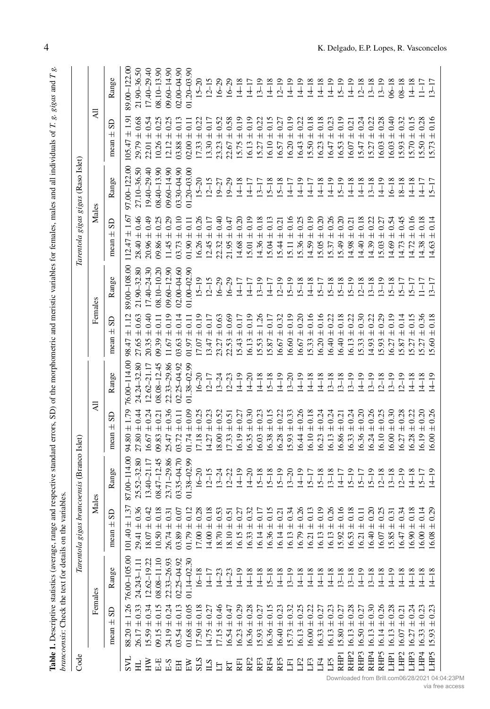| $\frac{1}{2}$                                                                        |                  |
|--------------------------------------------------------------------------------------|------------------|
| Ę                                                                                    |                  |
|                                                                                      |                  |
|                                                                                      |                  |
|                                                                                      |                  |
|                                                                                      |                  |
| l                                                                                    |                  |
|                                                                                      |                  |
|                                                                                      |                  |
| c<br>control                                                                         |                  |
| <b>Control</b>                                                                       |                  |
|                                                                                      |                  |
| $\ddot{\phantom{a}}$                                                                 |                  |
|                                                                                      |                  |
| Contractor of the contractor                                                         |                  |
| ֧֧֧֦֧֧֦֧֧֦֧֦֧֦֧֧֧֦֧֦֧֦֧֦֧֧֧֦֧֧֧֧֚֚֚֚֚֚֚֚֚֚֚֚֚֡֓֓֓֕֕֓֡֓֡֬֓֓֡֬֓֓֝֬֝֓֓֓֓֓֓֓֝֬֓֓֝֬֝֬֓֝֬֝ |                  |
|                                                                                      |                  |
| í                                                                                    |                  |
|                                                                                      |                  |
|                                                                                      |                  |
|                                                                                      |                  |
|                                                                                      |                  |
| is a set                                                                             |                  |
| $\sim$                                                                               |                  |
| É<br>֕<br>l                                                                          |                  |
| -<br>-<br>-<br>-<br>-<br>-<br>-<br>-<br><br>-<br><br><br><br><br><br><br><br>        |                  |
|                                                                                      |                  |
|                                                                                      |                  |
|                                                                                      |                  |
| i                                                                                    |                  |
|                                                                                      | ۱                |
|                                                                                      | i                |
|                                                                                      |                  |
| ange<br>١                                                                            | l<br>₹<br>j<br>ī |
| 1<br>ì                                                                               | ¢                |
| į<br>l<br>ׇ֚֘֡                                                                       |                  |
| l<br>į                                                                               | ł                |
| l                                                                                    |                  |
| i<br>1<br>ļ                                                                          | I<br>l<br>י      |
| ֠<br>j<br>ļ<br>j                                                                     | j                |
| $\overline{\phantom{a}}$<br>֠<br>Ï<br>١                                              |                  |
| i<br>į<br>I<br>Ï<br>١                                                                | I                |
| l<br>١                                                                               | į<br>i           |
| ì                                                                                    |                  |

|                                |                                               | Table 1. Descriptive statistics (average, range<br>brancoensis: Check the text for details on the | variables                                |                                        |                                                           |                            |                                                                     |                                |                                                                              |                                    | and respective standard errors, SD) of the morphometric and meristic variables for females, males and all individuals of T. g. gigas and T g. |                                    |
|--------------------------------|-----------------------------------------------|---------------------------------------------------------------------------------------------------|------------------------------------------|----------------------------------------|-----------------------------------------------------------|----------------------------|---------------------------------------------------------------------|--------------------------------|------------------------------------------------------------------------------|------------------------------------|-----------------------------------------------------------------------------------------------------------------------------------------------|------------------------------------|
| Code                           |                                               |                                                                                                   | Tarentola gigas                          | brancoensis (Branco Islet)             |                                                           |                            |                                                                     |                                | Tarentola gigas gigas (Raso Islet)                                           |                                    |                                                                                                                                               |                                    |
|                                |                                               | Females                                                                                           | Males                                    |                                        | ₹                                                         |                            | Females                                                             |                                | Males                                                                        |                                    | ₹                                                                                                                                             |                                    |
|                                | GS<br>$\overline{+}$<br>mean                  | Range                                                                                             | GS<br>$\pm$<br>mean                      | Range                                  | G<br>$\overline{+}$<br>mean                               | Range                      | GS<br>$^+$<br>mean                                                  | Range                          | GS<br>$^+$<br>mean                                                           | Range                              | S<br>$\pm$<br>mean                                                                                                                            | Range                              |
| <b>NS</b>                      | 1.26<br>$+$<br>88.20                          | 76.00-105.00                                                                                      | $\pm$ 1.37<br>101.40                     | 87.00-114.00                           | 1.79<br>$^+$<br>80<br>Å                                   | 76.00-114.00               | $^+$<br>98.47                                                       | 89.00-108.00                   | 1.67<br>$^{\rm +}$<br>47<br>112.                                             | 97.00 - 122.00                     | $\overline{1.9}$<br>$^+$<br>47<br>105.                                                                                                        | 89.00-122.00                       |
| 보                              | $\pm$ 0.33<br>26.17                           | $24.243 - 1.11$                                                                                   | 0.36<br>$\pm$<br>29.41                   | 25.52-32.80                            | $\pm$<br>27.80                                            | 24.24-32.80                | 0.63<br>$+$<br>27.65                                                | 21.90-32.80                    | 0.46<br>$\overline{+}$<br>28.40                                              | 27.10-36.50                        | 0.68<br>$+$<br>29.79                                                                                                                          | 21.90-36.50                        |
| Ř                              | 0.34<br>15.59                                 | 12.62-19.22                                                                                       | 0.42<br>$\pm$<br>18.07                   | 13.40-21.17                            | $+$<br>16.67                                              | $12.62 - 21.17$            | 0.40<br>$+$<br>20.35                                                | $17.40 - 24.30$                | $+$<br>20.96                                                                 | ੩<br>$19.40 - 29.$                 | 0.54<br>$+$<br>22.01                                                                                                                          | 17.40-29.40                        |
| $E-E$                          | 0.15<br>$+$<br>09.15                          | $08.08 - 11.10$                                                                                   | 0.18<br>$10.50 \pm$                      | 08.47-12.45                            | $+$<br>09.83                                              | $08.08 - 12.45$            | $+$<br>09.39                                                        | 08.10-10.20                    | $^+$<br>09.86                                                                | 8<br>$08.40 - 13.$                 | $+$<br>10.26                                                                                                                                  | $08.10 - 13.90$                    |
| $\mathrm{E}\text{-}\mathrm{S}$ | 0.24<br>$\pm$<br>24.19                        | 22.33-26.93                                                                                       | 0.31<br>$26.74 \pm$                      | 23.71-29.86                            | $+$<br>25.47                                              | 22.33-29.86                | 0.19<br>$+$<br>67<br>Ξ.                                             | $60 - 12.90$<br>$\overline{8}$ | $+$<br>11.45                                                                 | $09,60 - 14,90$                    | $+$<br>12.12                                                                                                                                  | $09,60 - 14,90$                    |
| $\rm{H}$                       | 0.13<br>$\pm$ 0.05<br>$\pm$<br>03.54<br>01.68 | $02.25 - 04.92$<br>30<br>$01.14 - 02.$                                                            | 0.12<br>0.07<br>$01.79 \pm$<br>$03.89 +$ | $03.35 - 04.70$<br>99<br>$01.38 - 02.$ | 0.09<br>$\overline{0.11}$<br>$+$<br>$+$<br>01.74<br>03.72 | 02.25-04.92<br>01.38-02.99 | 0.14<br>$\overline{0}$<br>$\overline{+}$<br>$\pm$<br>03.63<br>01.97 | 02.00-04.60<br>01.00-02.90     | 0.10<br>$\overline{1}$<br>$\overline{+}$<br>$\overline{+}$<br>03.73<br>01.90 | $03.30 - 04.90$<br>$01.20 - 03.00$ | $+$<br>$+$<br>02.00<br>03.88                                                                                                                  | $02.00 - 04.90$<br>$01.20 - 03.90$ |
| STS<br>STS                     | 0.18<br>$17.50 \pm$                           | $16 - 18$                                                                                         | 0.28<br>$17.00 \pm$                      | $16 - 20$                              | $+$<br>17.18                                              | $16 - 20$                  | 0.19<br>$\overline{+}$<br>17.07                                     | $15 - 19$                      | $\overline{+}$<br>16.26                                                      | $15 - 20$                          | $\frac{1}{x}$<br>17.33                                                                                                                        | $15 - 20$                          |
|                                | $14.75 \pm 0.27$                              | $14 - 17$                                                                                         | 0.18<br>$14.00 \pm$                      | $12 - 15$                              | $+$<br>14.27                                              | $12 - 17$                  | 0.17<br>$\overline{+}$<br>13.47                                     | $12 - 15$                      | 0.17<br>$\overline{+}$<br>12.45                                              | $12 - 15$                          | $\pm 0.17$<br>13.30                                                                                                                           | $12 - 15$                          |
| $\Xi$ E                        | $17.15 \pm 0.46$                              | $14 - 23$                                                                                         | 0.51<br>$18.70 \, \pm$                   | $13 - 24$                              | 0.52<br>$+$<br>18.00                                      | $13 - 24$                  | 0.63<br>$\overline{+}$<br>23.27                                     | $6 - 29$                       | 0.40<br>$\overline{+}$<br>22.32                                              | $19 - 27$                          | 0.52<br>$+$<br>23.23                                                                                                                          | $16 - 29$                          |
|                                | 0.47<br>$\pm$<br>16.54                        | $14 - 23$                                                                                         | $18.10 \pm$                              | $12 - 22$                              | 0.51<br>$+$<br>17.33                                      | $12 - 23$                  | 0.69<br>$+$<br>22.53                                                | $6 - 29$                       | $+0.47$<br>21.95                                                             | $9 - 29$                           | 0.58<br>$+$<br>22.67                                                                                                                          | $16 - 29$                          |
| E                              | 0.29<br>$\overline{+}$<br>16.23               | $14 - 19$                                                                                         | 0.27<br>$\overline{+}$<br>16.15          | $14 - 19$                              | 0.27<br>$+$<br>16.19                                      | $4 - 19$                   | 0.17<br>$+$<br>15.43                                                | 117                            | 0.20<br>$\overline{+}$<br>14.68                                              | $4 - 18$                           | 0.19<br>$+$<br>15.75                                                                                                                          | $14 - 18$                          |
| RF <sub>2</sub>                | 0.28<br>$+$<br>16.36                          | $14 - 18$                                                                                         | 0.32<br>$\pm$<br>16.33                   | $14 - 20$                              | 0.30<br>$\pm$<br>16.35                                    | $14 - 20$                  | 0.19<br>$\overline{+}$<br>16.13                                     | $14 - 17$                      | 0.19<br>$\overline{+}$<br>15.01                                              | $14 - 17$                          | 0.19<br>$+$<br>16.13                                                                                                                          | $14 - 17$                          |
| RF3                            | 0.27<br>$\pm$<br>15.93                        | $14 - 18$                                                                                         | $\pm$<br>16.14                           | $15 - 18$                              | 0.23<br>$+$<br>16.03                                      | $14 - 18$                  | 1.26<br>$\overline{+}$<br>15.53                                     | $ 3-19$                        | $\pm$ 0.18<br>14.36                                                          | $13 - 17$                          | 0.22<br>$+$<br>15.27                                                                                                                          | $13 - 19$                          |
| RF4                            | 0.15<br>$\pm$<br>16.36                        | $15 - 18$                                                                                         | 0.15<br>$^+$<br>16.36                    | $15 - 18$                              | 0.15<br>$\pm$<br>16.38                                    | $15 - 18$                  | 0.17<br>$\overline{+}$<br>15.87                                     | $14 - 17$                      | 0.13<br>$\overline{+}$<br>15.04                                              | $15 - 18$                          | 0.15<br>$\pm$<br>16.10                                                                                                                        | $14 - 18$                          |
| RF5                            | 0.23<br>$\overline{+}$<br>16.40               | $14 - 18$                                                                                         | 0.21<br>$\overline{+}$<br>16.14          | $15 - 19$                              | $+$<br>16.28                                              | $14 - 19$                  | 0.32<br>$\overline{+}$<br>16.67                                     | $12 - 19$                      | $\pm 0.21$<br>15.44                                                          | $15 - 18$                          | 0.27<br>$\overline{+}$<br>16.57                                                                                                               | $12 - 19$                          |
| $\overline{E}$                 | 0.32<br>$\pm$<br>15.73                        | $13 - 19$                                                                                         | 0.34<br>$\overline{+}$<br>16.13          | $13 - 20$                              | 0.33<br>$\pm$<br>15.93                                    | $13 - 20$                  | 0.19<br>$\overline{+}$<br>16.60                                     | $ 5 - 19$                      | $\pm 0.16$<br>15.11                                                          | $14 - 17$                          | 0.19<br>$\overline{+}$<br>16.20                                                                                                               | $14 - 19$                          |
| LF2                            | $\pm 0.25$<br>16.13                           | $14 - 18$                                                                                         | 0.26<br>$+$<br>16.79                     | $14 - 19$                              | 0.26<br>$+$<br>16.44                                      | $14 - 19$                  | 0.20<br>$\overline{+}$<br>16.67                                     | $15 - 18$                      | 0.25<br>$\overline{+}$<br>15.36                                              | $14 - 19$                          | 0.22<br>$\overline{+}$<br>16.43                                                                                                               | $14 - 19$                          |
| LF3                            | 0.22<br>$\overline{+}$<br>16.00               | $14 - 18$                                                                                         | 0.13<br>$\overline{+}$<br>16.21          | $15 - 17$                              | 0.18<br>$+$<br>16.10                                      | $14 - 18$                  | 0.16<br>$\pm$<br>15.33                                              | $14 - 18$                      | 0.19<br>$\pm$<br>14.59                                                       | $14 - 17$                          | 0.18<br>$\pm$<br>15.50                                                                                                                        | $14 - 18$                          |
| LF4                            | 0.27<br>$\pm$<br>16.33                        | $14 - 18$                                                                                         | 0.19<br>$\overline{+}$<br>16.13          | $15 - 18$                              | 0.24<br>$+$<br>16.23                                      | $14 - 18$                  | 0.16<br>$\overline{+}$<br>16.20                                     | $5 - 17$                       | 0.20<br>$\overline{+}$<br>15.05                                              | $14 - 18$                          | 0.18<br>$+$<br>16.23                                                                                                                          | $14 - 18$                          |
| LF5                            | 0.23<br>$+$<br>16.13                          | $14 - 18$                                                                                         | 0.26<br>$^+$<br>16.13                    | $13 - 18$                              | 0.24<br>$+$<br>16.13                                      | $ 3 - 18$                  | 0.22<br>$\pm$<br>6.40                                               | $5 - 18$                       | 0.26<br>$\!$ $\!$ $\!$ $\!$ $\!$ $\!$ $\!$<br>15.37                          | $14 - 19$                          | 0.23<br>$+$<br>16.47                                                                                                                          | $14 - 19$                          |
| RHP <sub>I</sub>               | 0.27<br>$\overline{+}$<br>15.80               | $13 - 18$                                                                                         | 0.16<br>$^+$<br>15.92                    | $14 - 17$                              | 0.21<br>$+$<br>16.86                                      | $13 - 18$                  | 0.18<br>$\overline{+}$<br>6.40                                      | $5 - 18$                       | $\pm$ 0.20<br>15.49                                                          | $15 - 19$                          | 0.19<br>$+$<br>16.53                                                                                                                          | $15 - 19$                          |
| RHP <sub>2</sub>               | 0.28<br>$+$<br>16.13                          | $13 - 18$                                                                                         | 0.18<br>$^+$<br>16.53                    | $15 - 19$                              | 0.24<br>$+$<br>16.33                                      | $13 - 19$                  | $\pm$ 0.22<br>16.13                                                 | $5 - 19$                       | $\pm 0.21$<br>14.98                                                          | $14 - 18$                          | 0.21<br>$+$<br>16.07                                                                                                                          | $14 - 19$                          |
| RHP <sub>3</sub>               | $\pm$ 0.27<br>16.50                           | $14 - 19$                                                                                         | 0.11<br>$\overline{+}$<br>16.21          | $15 - 17$                              | 0.20<br>$+$<br>16.36                                      | $(4 - 19)$                 | $\pm$ 0.30<br>5.33                                                  | $ 2 - 18$                      | 0.18<br>$\overline{+}$<br>14.40                                              | $14 - 18$                          | 0.24<br>$\pm$<br>15.47                                                                                                                        | $12 - 18$                          |
| RHP4                           | $\pm 0.30$<br>16.13                           | $13 - 18$                                                                                         | 0.20<br>$16.40 \pm$                      | $15 - 19$                              | 0.26<br>$+$<br>16.24                                      | $13 - 19$                  | $\pm$ 0.22<br>14.93                                                 | $3 - 18$                       | $\pm$ 0.22<br>14.39                                                          | $13 - 18$                          | 0.22<br>$\pm$<br>15.27                                                                                                                        | $13 - 18$                          |
| RHIP5                          | $\pm 0.26$<br>16.14                           | $14 - 18$                                                                                         | 0.25<br>$\overline{+}$<br>16.07          | $12 - 18$                              | 0.25<br>$\overline{+}$<br>16.10                           | $12 - 18$                  | $\pm 0.29$<br>5.93                                                  | $3 - 19$                       | $\pm 0.27$<br>5.03                                                           | $14 - 19$                          | $\pm~0.28$<br>16.03                                                                                                                           | $13 - 19$                          |
| LHPI                           | $\pm$ 0.28<br>16.13                           | $14 - 19$                                                                                         | 0.31<br>$^+$<br>15.85                    | $13 - 18$                              | 0.30<br>$\overline{+}$<br>16.00                           | $13 - 19$                  | 0.19<br>$\overline{+}$<br>6.27                                      | $5 - 18$                       | 0.54<br>$\overline{+}$<br>14.69                                              | $16 - 18$                          | 0.40<br>$\overline{+}$<br>16.03                                                                                                               | $06 - 18$                          |
| LHP <sub>2</sub>               | $\pm 0.21$<br>16.07                           | $14 - 18$                                                                                         | 0.34<br>$\overline{+}$<br>16.47          | $12 - 19$                              | 0.28<br>$+$<br>16.27                                      | $12 - 19$                  | 0.14<br>$\overline{+}$<br>5.87                                      | $5 - 17$                       | 0.45<br>$\overline{+}$<br>14.73                                              | $18 - 18$                          | 0.32<br>$+$<br>15.93                                                                                                                          | $08 - 18$                          |
| LHP3                           | $\pm 0.24$<br>16.27                           | $14 - 18$                                                                                         | 0.18<br>$\pm$<br>16.90                   | $14 - 18$                              | 16.28                                                     | $4 - 18$                   | 0.15<br>$\overline{+}$<br>5.27                                      | $5 - 17$                       | 0.16<br>$\overline{+}$<br>14.72                                              | $14 - 18$                          | 0.15<br>15.70                                                                                                                                 | $14 - 18$                          |
| LHP4                           | 0.23<br>$+$<br>16.33                          | $14 - 18$                                                                                         | 0.14<br>$^+$<br>16.00                    | $15 - 17$                              | 0.20<br>$+$<br>16.19                                      | $4 - 18$                   | $+$<br>15.27                                                        | $-17$                          | 0.18<br>$\overline{+}$<br>14.38                                              | $14 - 17$                          | 0.28<br>$+$<br>15.50                                                                                                                          | $11 - 17$                          |
| LHP5                           | 0.23<br>$+$<br>15.93                          | $14 - 18$                                                                                         | 0.29<br>$^+$<br>16.08                    | $(4 - 19)$                             | 0.26<br>$+$<br>16.00                                      | $14 - 19$                  | 0.18<br>$+$<br>5.60                                                 | $3 - 17$                       | 0.14<br>$\overline{+}$<br>14.63                                              | $5 - 17$                           | 0.16<br>$+$                                                                                                                                   | $13 - 17$                          |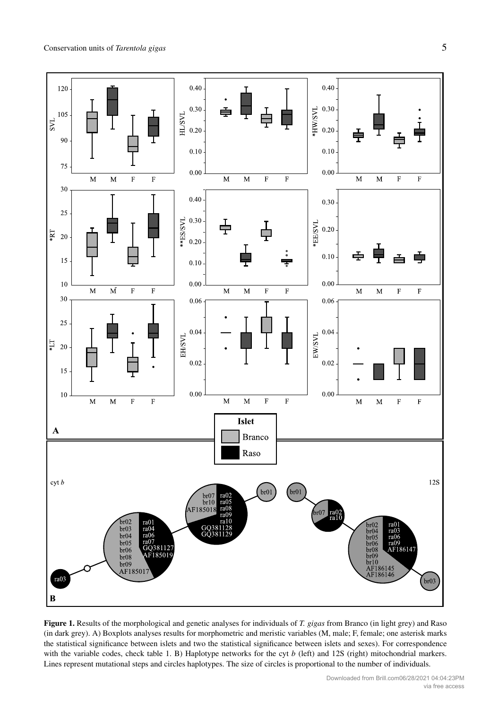

**Figure 1.** Results of the morphological and genetic analyses for individuals of *T. gigas* from Branco (in light grey) and Raso (in dark grey). A) Boxplots analyses results for morphometric and meristic variables (M, male; F, female; one asterisk marks the statistical significance between islets and two the statistical significance between islets and sexes). For correspondence with the variable codes, check table 1. B) Haplotype networks for the cyt *b* (left) and 12S (right) mitochondrial markers. Lines represent mutational steps and circles haplotypes. The size of circles is proportional to the number of individuals.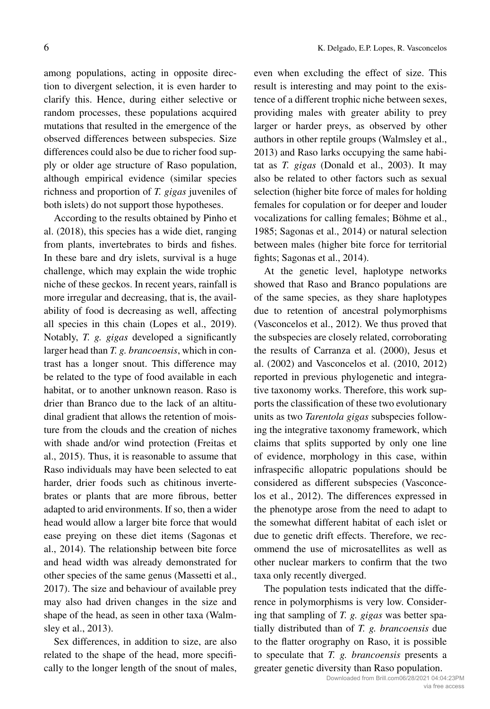among populations, acting in opposite direction to divergent selection, it is even harder to clarify this. Hence, during either selective or random processes, these populations acquired mutations that resulted in the emergence of the observed differences between subspecies. Size differences could also be due to richer food supply or older age structure of Raso population, although empirical evidence (similar species richness and proportion of *T. gigas* juveniles of both islets) do not support those hypotheses.

According to the results obtained by Pinho et al. (2018), this species has a wide diet, ranging from plants, invertebrates to birds and fishes. In these bare and dry islets, survival is a huge challenge, which may explain the wide trophic niche of these geckos. In recent years, rainfall is more irregular and decreasing, that is, the availability of food is decreasing as well, affecting all species in this chain (Lopes et al., 2019). Notably, *T. g. gigas* developed a significantly larger head than *T. g. brancoensis*, which in contrast has a longer snout. This difference may be related to the type of food available in each habitat, or to another unknown reason. Raso is drier than Branco due to the lack of an altitudinal gradient that allows the retention of moisture from the clouds and the creation of niches with shade and/or wind protection (Freitas et al., 2015). Thus, it is reasonable to assume that Raso individuals may have been selected to eat harder, drier foods such as chitinous invertebrates or plants that are more fibrous, better adapted to arid environments. If so, then a wider head would allow a larger bite force that would ease preying on these diet items (Sagonas et al., 2014). The relationship between bite force and head width was already demonstrated for other species of the same genus (Massetti et al., 2017). The size and behaviour of available prey may also had driven changes in the size and shape of the head, as seen in other taxa (Walmsley et al., 2013).

Sex differences, in addition to size, are also related to the shape of the head, more specifically to the longer length of the snout of males, even when excluding the effect of size. This result is interesting and may point to the existence of a different trophic niche between sexes, providing males with greater ability to prey larger or harder preys, as observed by other authors in other reptile groups (Walmsley et al., 2013) and Raso larks occupying the same habitat as *T. gigas* (Donald et al., 2003). It may also be related to other factors such as sexual selection (higher bite force of males for holding females for copulation or for deeper and louder vocalizations for calling females; Böhme et al., 1985; Sagonas et al., 2014) or natural selection between males (higher bite force for territorial fights; Sagonas et al., 2014).

At the genetic level, haplotype networks showed that Raso and Branco populations are of the same species, as they share haplotypes due to retention of ancestral polymorphisms (Vasconcelos et al., 2012). We thus proved that the subspecies are closely related, corroborating the results of Carranza et al. (2000), Jesus et al. (2002) and Vasconcelos et al. (2010, 2012) reported in previous phylogenetic and integrative taxonomy works. Therefore, this work supports the classification of these two evolutionary units as two *Tarentola gigas* subspecies following the integrative taxonomy framework, which claims that splits supported by only one line of evidence, morphology in this case, within infraspecific allopatric populations should be considered as different subspecies (Vasconcelos et al., 2012). The differences expressed in the phenotype arose from the need to adapt to the somewhat different habitat of each islet or due to genetic drift effects. Therefore, we recommend the use of microsatellites as well as other nuclear markers to confirm that the two taxa only recently diverged.

The population tests indicated that the difference in polymorphisms is very low. Considering that sampling of *T. g. gigas* was better spatially distributed than of *T. g. brancoensis* due to the flatter orography on Raso, it is possible to speculate that *T. g. brancoensis* presents a greater genetic diversity than Raso population.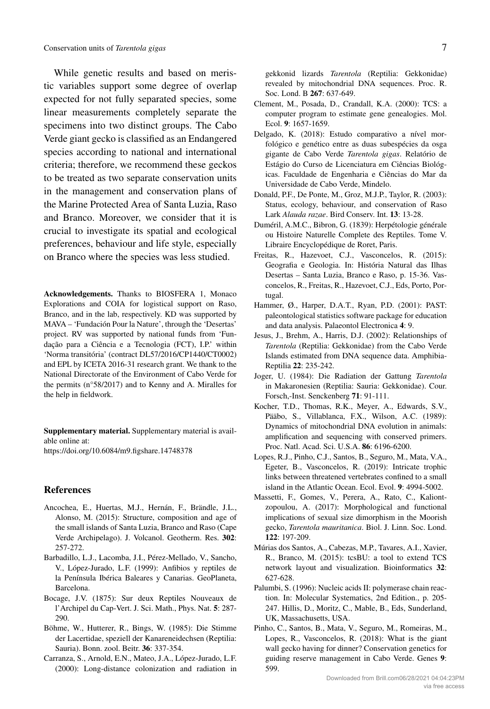While genetic results and based on meristic variables support some degree of overlap expected for not fully separated species, some linear measurements completely separate the specimens into two distinct groups. The Cabo Verde giant gecko is classified as an Endangered species according to national and international criteria; therefore, we recommend these geckos to be treated as two separate conservation units in the management and conservation plans of the Marine Protected Area of Santa Luzia, Raso and Branco. Moreover, we consider that it is crucial to investigate its spatial and ecological preferences, behaviour and life style, especially on Branco where the species was less studied.

**Acknowledgements.** Thanks to BIOSFERA 1, Monaco Explorations and COIA for logistical support on Raso, Branco, and in the lab, respectively. KD was supported by MAVA – 'Fundación Pour la Nature', through the 'Desertas' project. RV was supported by national funds from 'Fundação para a Ciência e a Tecnologia (FCT), I.P.' within 'Norma transitória' (contract DL57/2016/CP1440/CT0002) and EPL by ICETA 2016-31 research grant. We thank to the National Directorate of the Environment of Cabo Verde for the permits (n°58/2017) and to Kenny and A. Miralles for the help in fieldwork.

**Supplementary material.** Supplementary material is available online at:

<https://doi.org/10.6084/m9.figshare.14748378>

## **References**

- Ancochea, E., Huertas, M.J., Hernán, F., Brändle, J.L., Alonso, M. (2015): Structure, composition and age of the small islands of Santa Luzia, Branco and Raso (Cape Verde Archipelago). J. Volcanol. Geotherm. Res. **302**: 257-272.
- Barbadillo, L.J., Lacomba, J.I., Pérez-Mellado, V., Sancho, V., López-Jurado, L.F. (1999): Anfibios y reptiles de la Península Ibérica Baleares y Canarias. GeoPlaneta, Barcelona.
- Bocage, J.V. (1875): Sur deux Reptiles Nouveaux de l'Archipel du Cap-Vert. J. Sci. Math., Phys. Nat. **5**: 287- 290.
- Böhme, W., Hutterer, R., Bings, W. (1985): Die Stimme der Lacertidae, speziell der Kanareneidechsen (Reptilia: Sauria). Bonn. zool. Beitr. **36**: 337-354.
- Carranza, S., Arnold, E.N., Mateo, J.A., López-Jurado, L.F. (2000): Long-distance colonization and radiation in

gekkonid lizards *Tarentola* (Reptilia: Gekkonidae) revealed by mitochondrial DNA sequences. Proc. R. Soc. Lond. B **267**: 637-649.

- Clement, M., Posada, D., Crandall, K.A. (2000): TCS: a computer program to estimate gene genealogies. Mol. Ecol. **9**: 1657-1659.
- Delgado, K. (2018): Estudo comparativo a nível morfológico e genético entre as duas subespécies da osga gigante de Cabo Verde *Tarentola gigas*. Relatório de Estágio do Curso de Licenciatura em Ciências Biológicas. Faculdade de Engenharia e Ciências do Mar da Universidade de Cabo Verde, Mindelo.
- Donald, P.F., De Ponte, M., Groz, M.J.P., Taylor, R. (2003): Status, ecology, behaviour, and conservation of Raso Lark *Alauda razae*. Bird Conserv. Int. **13**: 13-28.
- Duméril, A.M.C., Bibron, G. (1839): Herpétologie générale ou Histoire Naturelle Complete des Reptiles. Tome V. Libraire Encyclopédique de Roret, Paris.
- Freitas, R., Hazevoet, C.J., Vasconcelos, R. (2015): Geografia e Geologia. In: História Natural das Ilhas Desertas – Santa Luzia, Branco e Raso, p. 15-36. Vasconcelos, R., Freitas, R., Hazevoet, C.J., Eds, Porto, Portugal.
- Hammer, Ø., Harper, D.A.T., Ryan, P.D. (2001): PAST: paleontological statistics software package for education and data analysis. Palaeontol Electronica **4**: 9.
- Jesus, J., Brehm, A., Harris, D.J. (2002): Relationships of *Tarentola* (Reptilia: Gekkonidae) from the Cabo Verde Islands estimated from DNA sequence data. Amphibia-Reptilia **22**: 235-242.
- Joger, U. (1984): Die Radiation der Gattung *Tarentola* in Makaronesien (Reptilia: Sauria: Gekkonidae). Cour. Forsch,-Inst. Senckenberg **71**: 91-111.
- Kocher, T.D., Thomas, R.K., Meyer, A., Edwards, S.V., Pääbo, S., Villablanca, F.X., Wilson, A.C. (1989): Dynamics of mitochondrial DNA evolution in animals: amplification and sequencing with conserved primers. Proc. Natl. Acad. Sci. U.S.A. **86**: 6196-6200.
- Lopes, R.J., Pinho, C.J., Santos, B., Seguro, M., Mata, V.A., Egeter, B., Vasconcelos, R. (2019): Intricate trophic links between threatened vertebrates confined to a small island in the Atlantic Ocean. Ecol. Evol. **9**: 4994-5002.
- Massetti, F., Gomes, V., Perera, A., Rato, C., Kaliontzopoulou, A. (2017): Morphological and functional implications of sexual size dimorphism in the Moorish gecko, *Tarentola mauritanica*. Biol. J. Linn. Soc. Lond. **122**: 197-209.
- Múrias dos Santos, A., Cabezas, M.P., Tavares, A.I., Xavier, R., Branco, M. (2015): tcsBU: a tool to extend TCS network layout and visualization. Bioinformatics **32**: 627-628.
- Palumbi, S. (1996): Nucleic acids II: polymerase chain reaction. In: Molecular Systematics, 2nd Edition., p. 205- 247. Hillis, D., Moritz, C., Mable, B., Eds, Sunderland, UK, Massachusetts, USA.
- Pinho, C., Santos, B., Mata, V., Seguro, M., Romeiras, M., Lopes, R., Vasconcelos, R. (2018): What is the giant wall gecko having for dinner? Conservation genetics for guiding reserve management in Cabo Verde. Genes **9**: 599.